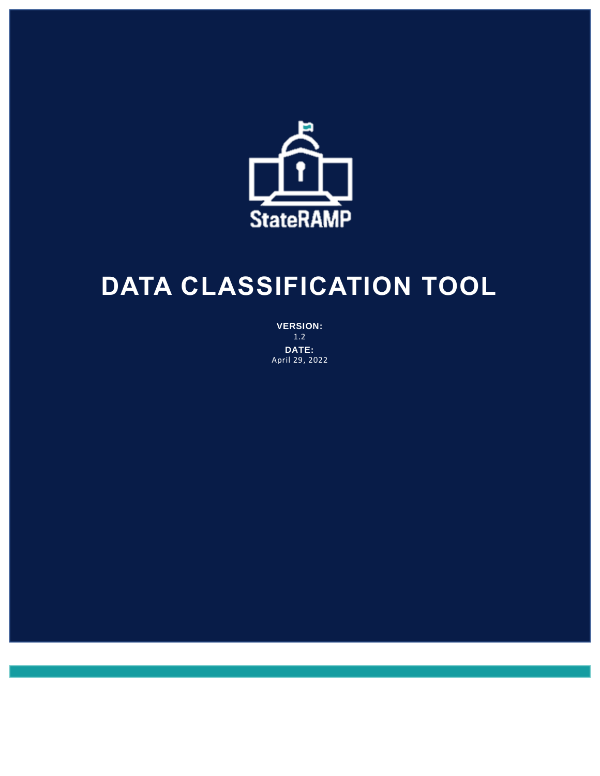

# **DATA CLASSIFICATION TOOL**

**VERSION:** 1.2 **DATE:** April 29, 2022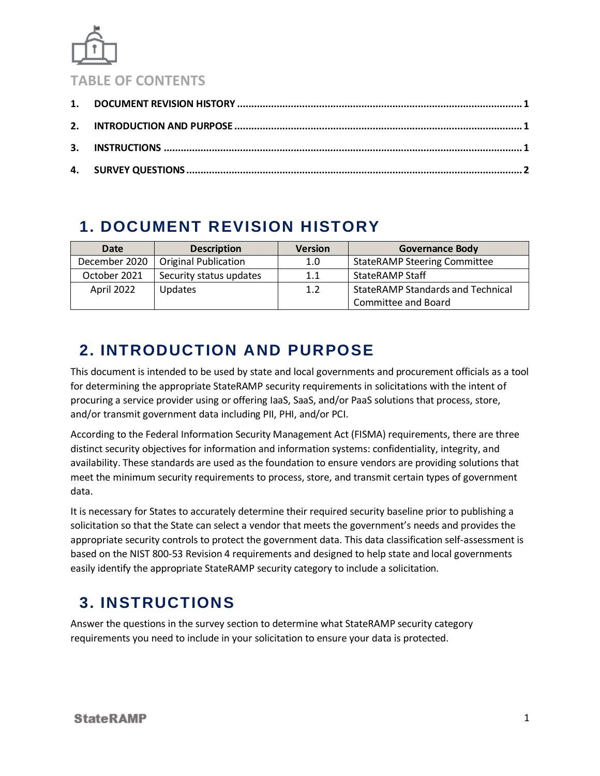

#### **TABLE OF CONTENTS**

#### <span id="page-1-0"></span>**1. DOCUMENT REVISION HISTORY**

| Date          | <b>Description</b>          | <b>Version</b> | <b>Governance Body</b>                   |
|---------------|-----------------------------|----------------|------------------------------------------|
| December 2020 | <b>Original Publication</b> | 1.0            | <b>StateRAMP Steering Committee</b>      |
| October 2021  | Security status updates     | 1.1            | <b>StateRAMP Staff</b>                   |
| April 2022    | <b>Updates</b>              | 1.2            | <b>StateRAMP Standards and Technical</b> |
|               |                             |                | Committee and Board                      |

## <span id="page-1-1"></span>**2. INTRODUCTION AND PURPOSE**

This document is intended to be used by state and local governments and procurement officials as a tool for determining the appropriate StateRAMP security requirements in solicitations with the intent of procuring a service provider using or offering IaaS, SaaS, and/or PaaS solutions that process, store, and/or transmit government data including PII, PHI, and/or PCI.

According to the Federal Information Security Management Act (FISMA) requirements, there are three distinct security objectives for information and information systems: confidentiality, integrity, and availability. These standards are used as the foundation to ensure vendors are providing solutions that meet the minimum security requirements to process, store, and transmit certain types of government data.

It is necessary for States to accurately determine their required security baseline prior to publishing a solicitation so that the State can select a vendor that meets the government's needs and provides the appropriate security controls to protect the government data. This data classification self-assessment is based on the NIST 800-53 Revision 4 requirements and designed to help state and local governments easily identify the appropriate StateRAMP security category to include a solicitation.

# <span id="page-1-2"></span>**3. INSTRUCTIONS**

Answer the questions in the survey section to determine what StateRAMP security category requirements you need to include in your solicitation to ensure your data is protected.